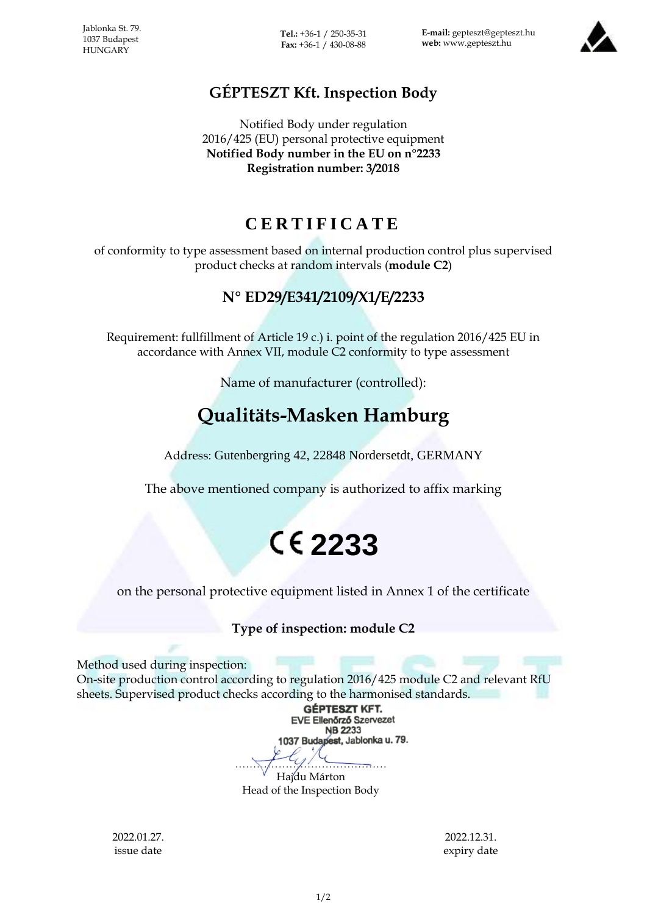**Tel.:** +36-1 / 250-35-31 **Fax:** +36-1 / 430-08-88

**E-mail:** gepteszt@gepteszt.hu **web:** www.gepteszt.hu



### **GÉPTESZT Kft. Inspection Body**

Notified Body under regulation 2016/425 (EU) personal protective equipment **Notified Body number in the EU on n°2233 Registration number: 3/2018**

### **C E R T I F I C A T E**

of conformity to type assessment based on internal production control plus supervised product checks at random intervals (**module C2**)

### **N° ED29/E341/2109/X1/E/2233**

Requirement: fullfillment of Article 19 c.) i. point of the regulation 2016/425 EU in accordance with Annex VII, module C2 conformity to type assessment

Name of manufacturer (controlled):

## **Qualitäts-Masken Hamburg**

Address: Gutenbergring 42, 22848 Nordersetdt, GERMANY

The above mentioned company is authorized to affix marking

# **2233**

on the personal protective equipment listed in Annex 1 of the certificate

#### **Type of inspection: module C2**

Method used during inspection:

On-site production control according to regulation 2016/425 module C2 and relevant RfU sheets. Supervised product checks according to the harmonised standards.

**GÉPTESZT KFT. EVE Ellenőrző Szervezet NB 2233** 1037 Budapest, Jablonka u. 79.  $\frac{1}{\sqrt{2}}$ 

Hajdu Márton Head of the Inspection Body

2022.01.27. issue date

2022.12.31. expiry date